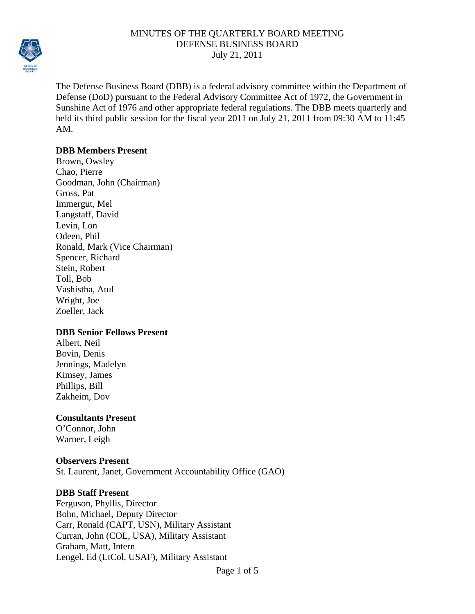

The Defense Business Board (DBB) is a federal advisory committee within the Department of Defense (DoD) pursuant to the Federal Advisory Committee Act of 1972, the Government in Sunshine Act of 1976 and other appropriate federal regulations. The DBB meets quarterly and held its third public session for the fiscal year 2011 on July 21, 2011 from 09:30 AM to 11:45 AM.

#### **DBB Members Present**

Brown, Owsley Chao, Pierre Goodman, John (Chairman) Gross, Pat Immergut, Mel Langstaff, David Levin, Lon Odeen, Phil Ronald, Mark (Vice Chairman) Spencer, Richard Stein, Robert Toll, Bob Vashistha, Atul Wright, Joe Zoeller, Jack

## **DBB Senior Fellows Present**

Albert, Neil Bovin, Denis Jennings, Madelyn Kimsey, James Phillips, Bill Zakheim, Dov

# **Consultants Present**

O'Connor, John Warner, Leigh

#### **Observers Present**

St. Laurent, Janet, Government Accountability Office (GAO)

## **DBB Staff Present**

Ferguson, Phyllis, Director Bohn, Michael, Deputy Director Carr, Ronald (CAPT, USN), Military Assistant Curran, John (COL, USA), Military Assistant Graham, Matt, Intern Lengel, Ed (LtCol, USAF), Military Assistant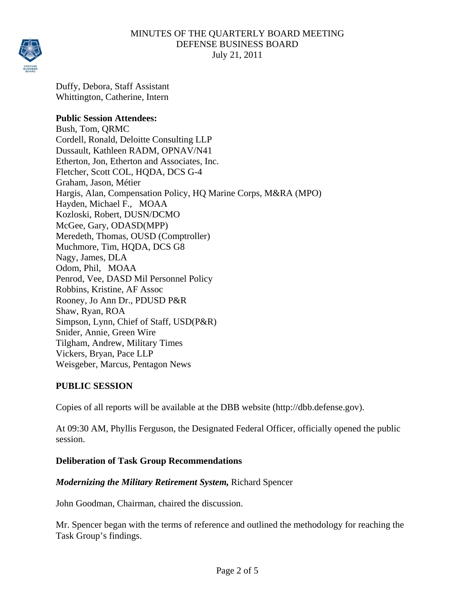

Duffy, Debora, Staff Assistant Whittington, Catherine, Intern

#### **Public Session Attendees:**

Bush, Tom, QRMC Cordell, Ronald, Deloitte Consulting LLP Dussault, Kathleen RADM, OPNAV/N41 Etherton, Jon, Etherton and Associates, Inc. Fletcher, Scott COL, HQDA, DCS G-4 Graham, Jason, Métier Hargis, Alan, Compensation Policy, HQ Marine Corps, M&RA (MPO) Hayden, Michael F., MOAA Kozloski, Robert, DUSN/DCMO McGee, Gary, ODASD(MPP) Meredeth, Thomas, OUSD (Comptroller) Muchmore, Tim, HQDA, DCS G8 Nagy, James, DLA Odom, Phil, MOAA Penrod, Vee, DASD Mil Personnel Policy Robbins, Kristine, AF Assoc Rooney, Jo Ann Dr., PDUSD P&R Shaw, Ryan, ROA Simpson, Lynn, Chief of Staff, USD(P&R) Snider, Annie, Green Wire Tilgham, Andrew, Military Times Vickers, Bryan, Pace LLP Weisgeber, Marcus, Pentagon News

## **PUBLIC SESSION**

Copies of all reports will be available at the DBB website (http://dbb.defense.gov).

At 09:30 AM, Phyllis Ferguson, the Designated Federal Officer, officially opened the public session.

## **Deliberation of Task Group Recommendations**

## *Modernizing the Military Retirement System,* Richard Spencer

John Goodman, Chairman, chaired the discussion.

Mr. Spencer began with the terms of reference and outlined the methodology for reaching the Task Group's findings.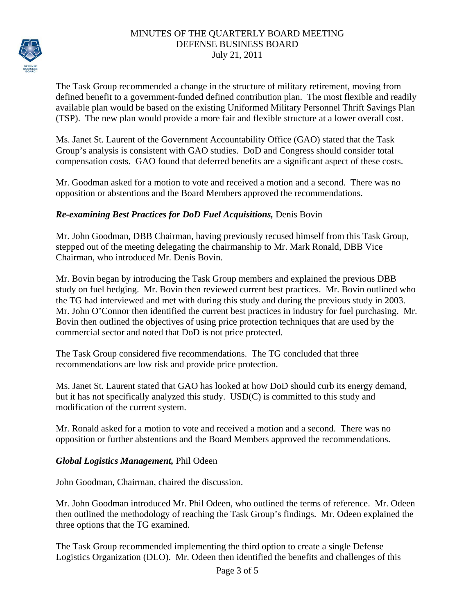

The Task Group recommended a change in the structure of military retirement, moving from defined benefit to a government-funded defined contribution plan. The most flexible and readily available plan would be based on the existing Uniformed Military Personnel Thrift Savings Plan (TSP). The new plan would provide a more fair and flexible structure at a lower overall cost.

Ms. Janet St. Laurent of the Government Accountability Office (GAO) stated that the Task Group's analysis is consistent with GAO studies. DoD and Congress should consider total compensation costs. GAO found that deferred benefits are a significant aspect of these costs.

Mr. Goodman asked for a motion to vote and received a motion and a second. There was no opposition or abstentions and the Board Members approved the recommendations.

## *Re-examining Best Practices for DoD Fuel Acquisitions,* Denis Bovin

Mr. John Goodman, DBB Chairman, having previously recused himself from this Task Group, stepped out of the meeting delegating the chairmanship to Mr. Mark Ronald, DBB Vice Chairman, who introduced Mr. Denis Bovin.

Mr. Bovin began by introducing the Task Group members and explained the previous DBB study on fuel hedging. Mr. Bovin then reviewed current best practices. Mr. Bovin outlined who the TG had interviewed and met with during this study and during the previous study in 2003. Mr. John O'Connor then identified the current best practices in industry for fuel purchasing. Mr. Bovin then outlined the objectives of using price protection techniques that are used by the commercial sector and noted that DoD is not price protected.

The Task Group considered five recommendations. The TG concluded that three recommendations are low risk and provide price protection.

Ms. Janet St. Laurent stated that GAO has looked at how DoD should curb its energy demand, but it has not specifically analyzed this study. USD(C) is committed to this study and modification of the current system.

Mr. Ronald asked for a motion to vote and received a motion and a second. There was no opposition or further abstentions and the Board Members approved the recommendations.

## *Global Logistics Management,* Phil Odeen

John Goodman, Chairman, chaired the discussion.

Mr. John Goodman introduced Mr. Phil Odeen, who outlined the terms of reference. Mr. Odeen then outlined the methodology of reaching the Task Group's findings. Mr. Odeen explained the three options that the TG examined.

The Task Group recommended implementing the third option to create a single Defense Logistics Organization (DLO). Mr. Odeen then identified the benefits and challenges of this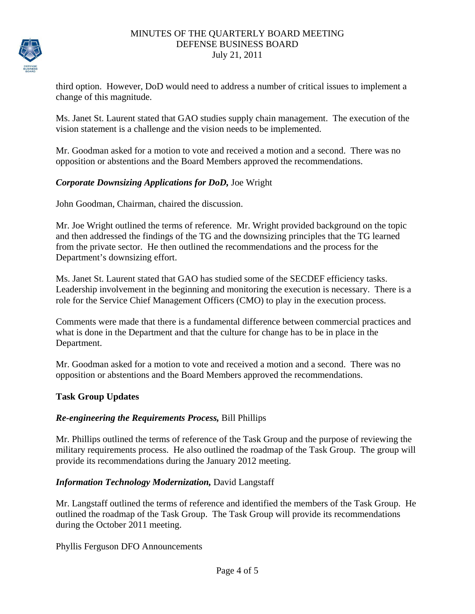

third option. However, DoD would need to address a number of critical issues to implement a change of this magnitude.

Ms. Janet St. Laurent stated that GAO studies supply chain management. The execution of the vision statement is a challenge and the vision needs to be implemented.

Mr. Goodman asked for a motion to vote and received a motion and a second. There was no opposition or abstentions and the Board Members approved the recommendations.

# *Corporate Downsizing Applications for DoD,* Joe Wright

John Goodman, Chairman, chaired the discussion.

Mr. Joe Wright outlined the terms of reference. Mr. Wright provided background on the topic and then addressed the findings of the TG and the downsizing principles that the TG learned from the private sector. He then outlined the recommendations and the process for the Department's downsizing effort.

Ms. Janet St. Laurent stated that GAO has studied some of the SECDEF efficiency tasks. Leadership involvement in the beginning and monitoring the execution is necessary. There is a role for the Service Chief Management Officers (CMO) to play in the execution process.

Comments were made that there is a fundamental difference between commercial practices and what is done in the Department and that the culture for change has to be in place in the Department.

Mr. Goodman asked for a motion to vote and received a motion and a second. There was no opposition or abstentions and the Board Members approved the recommendations.

## **Task Group Updates**

## *Re-engineering the Requirements Process,* Bill Phillips

Mr. Phillips outlined the terms of reference of the Task Group and the purpose of reviewing the military requirements process. He also outlined the roadmap of the Task Group. The group will provide its recommendations during the January 2012 meeting.

## *Information Technology Modernization,* David Langstaff

Mr. Langstaff outlined the terms of reference and identified the members of the Task Group. He outlined the roadmap of the Task Group. The Task Group will provide its recommendations during the October 2011 meeting.

Phyllis Ferguson DFO Announcements